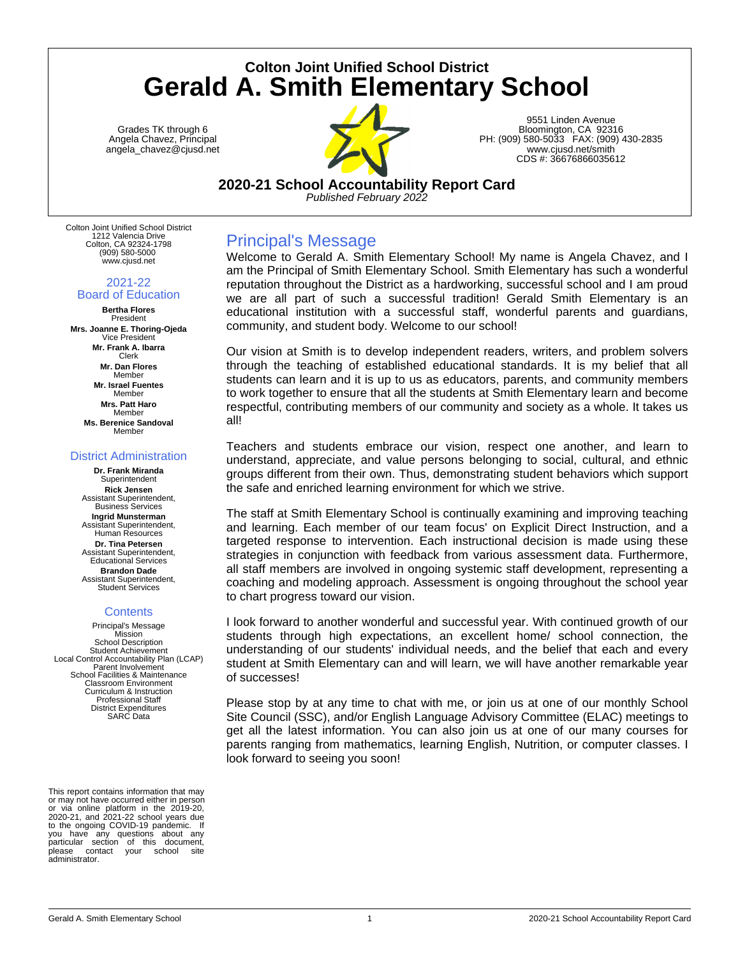# **Colton Joint Unified School District Gerald A. Smith Elementary School**

Grades TK through 6 Angela Chavez, Principal angela\_chavez@cjusd.net



9551 Linden Avenue Bloomington, CA 92316 PH: (909) 580-5033 FAX: (909) 430-2835 www.cjusd.net/smith CDS #: 36676866035612

## **2020-21 School Accountability Report Card**

*Published February 2022*

Colton Joint Unified School District 1212 Valencia Drive Colton, CA 92324-1798 (909) 580-5000 www.cjusd.net

#### 2021-22 Board of Education

**Bertha Flores** President **Mrs. Joanne E. Thoring-Ojeda** Vice President **Mr. Frank A. Ibarra** Clerk **Mr. Dan Flores** Member **Mr. Israel Fuentes** Member **Mrs. Patt Haro** Member **Ms. Berenice Sandoval** Member

#### District Administration

**Dr. Frank Miranda** Superintendent **Rick Jensen** Assistant Superintendent, Business Services **Ingrid Munsterman** Assistant Superintendent, Human Resources **Dr. Tina Petersen** Assistant Superintendent, Educational Services **Brandon Dade** Assistant Superintendent, Student Services

## **Contents**

Principal's Message **Mission** School Description Student Achievement Local Control Accountability Plan (LCAP) Parent Involvement School Facilities & Maintenance Classroom Environment Curriculum & Instruction Professional Staff District Expenditures SARC Data

This report contains information that may or may not have occurred either in perso or via online platform in the 2019-20, 2020-21, and 2021-22 school years due to the ongoing COVID-19 pandemic. If you have any questions about any particular section of this document,<br>please contact your school site contact your administrator.

## Principal's Message

Welcome to Gerald A. Smith Elementary School! My name is Angela Chavez, and I am the Principal of Smith Elementary School. Smith Elementary has such a wonderful reputation throughout the District as a hardworking, successful school and I am proud we are all part of such a successful tradition! Gerald Smith Elementary is an educational institution with a successful staff, wonderful parents and guardians, community, and student body. Welcome to our school!

Our vision at Smith is to develop independent readers, writers, and problem solvers through the teaching of established educational standards. It is my belief that all students can learn and it is up to us as educators, parents, and community members to work together to ensure that all the students at Smith Elementary learn and become respectful, contributing members of our community and society as a whole. It takes us all!

Teachers and students embrace our vision, respect one another, and learn to understand, appreciate, and value persons belonging to social, cultural, and ethnic groups different from their own. Thus, demonstrating student behaviors which support the safe and enriched learning environment for which we strive.

The staff at Smith Elementary School is continually examining and improving teaching and learning. Each member of our team focus' on Explicit Direct Instruction, and a targeted response to intervention. Each instructional decision is made using these strategies in conjunction with feedback from various assessment data. Furthermore, all staff members are involved in ongoing systemic staff development, representing a coaching and modeling approach. Assessment is ongoing throughout the school year to chart progress toward our vision.

I look forward to another wonderful and successful year. With continued growth of our students through high expectations, an excellent home/ school connection, the understanding of our students' individual needs, and the belief that each and every student at Smith Elementary can and will learn, we will have another remarkable year of successes!

Please stop by at any time to chat with me, or join us at one of our monthly School Site Council (SSC), and/or English Language Advisory Committee (ELAC) meetings to get all the latest information. You can also join us at one of our many courses for parents ranging from mathematics, learning English, Nutrition, or computer classes. I look forward to seeing you soon!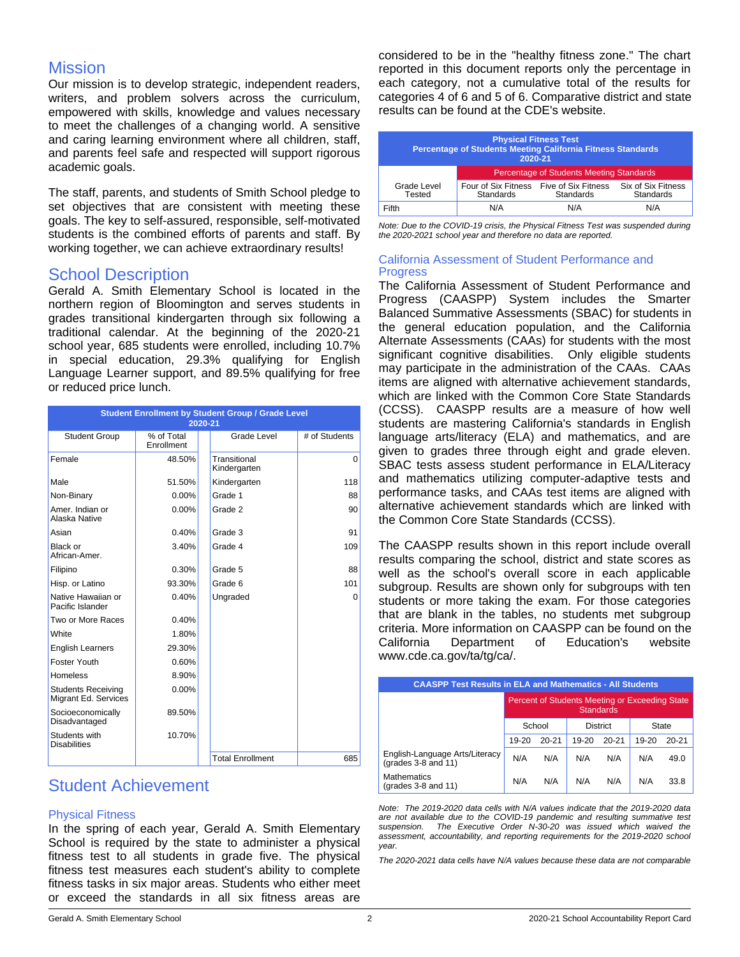## Mission

Our mission is to develop strategic, independent readers, writers, and problem solvers across the curriculum, empowered with skills, knowledge and values necessary to meet the challenges of a changing world. A sensitive and caring learning environment where all children, staff, and parents feel safe and respected will support rigorous academic goals.

The staff, parents, and students of Smith School pledge to set objectives that are consistent with meeting these goals. The key to self-assured, responsible, self-motivated students is the combined efforts of parents and staff. By working together, we can achieve extraordinary results!

## School Description

Gerald A. Smith Elementary School is located in the northern region of Bloomington and serves students in grades transitional kindergarten through six following a traditional calendar. At the beginning of the 2020-21 school year, 685 students were enrolled, including 10.7% in special education, 29.3% qualifying for English Language Learner support, and 89.5% qualifying for free or reduced price lunch.

| <b>Student Enrollment by Student Group / Grade Level</b><br>2020-21 |                          |                              |               |  |
|---------------------------------------------------------------------|--------------------------|------------------------------|---------------|--|
| <b>Student Group</b>                                                | % of Total<br>Enrollment | Grade Level                  | # of Students |  |
| Female                                                              | 48.50%                   | Transitional<br>Kindergarten | $\Omega$      |  |
| Male                                                                | 51.50%                   | Kindergarten                 | 118           |  |
| Non-Binary                                                          | $0.00\%$                 | Grade 1                      | 88            |  |
| Amer, Indian or<br>Alaska Native                                    | $0.00\%$                 | Grade 2                      | 90            |  |
| Asian                                                               | 0.40%                    | Grade 3                      | 91            |  |
| Black or<br>African-Amer.                                           | 3.40%                    | Grade 4                      | 109           |  |
| Filipino                                                            | 0.30%                    | Grade 5                      | 88            |  |
| Hisp. or Latino                                                     | 93.30%                   | Grade 6                      | 101           |  |
| Native Hawaiian or<br>Pacific Islander                              | 0.40%                    | Ungraded                     | $\Omega$      |  |
| Two or More Races                                                   | 0.40%                    |                              |               |  |
| White                                                               | 1.80%                    |                              |               |  |
| <b>English Learners</b>                                             | 29.30%                   |                              |               |  |
| Foster Youth                                                        | 0.60%                    |                              |               |  |
| <b>Homeless</b>                                                     | 8.90%                    |                              |               |  |
| <b>Students Receiving</b><br>Migrant Ed. Services                   | $0.00\%$                 |                              |               |  |
| Socioeconomically<br>Disadvantaged                                  | 89.50%                   |                              |               |  |
| Students with<br><b>Disabilities</b>                                | 10.70%                   |                              |               |  |
|                                                                     |                          | <b>Total Enrollment</b>      | 685           |  |

## Student Achievement

## Physical Fitness

In the spring of each year, Gerald A. Smith Elementary School is required by the state to administer a physical fitness test to all students in grade five. The physical fitness test measures each student's ability to complete fitness tasks in six major areas. Students who either meet or exceed the standards in all six fitness areas are considered to be in the "healthy fitness zone." The chart reported in this document reports only the percentage in each category, not a cumulative total of the results for categories 4 of 6 and 5 of 6. Comparative district and state results can be found at the CDE's website.

| <b>Physical Fitness Test</b><br>Percentage of Students Meeting California Fitness Standards<br>2020-21 |                                  |                                                 |                                 |
|--------------------------------------------------------------------------------------------------------|----------------------------------|-------------------------------------------------|---------------------------------|
|                                                                                                        |                                  | <b>Percentage of Students Meeting Standards</b> |                                 |
| Grade Level<br>Tested                                                                                  | Four of Six Fitness<br>Standards | Five of Six Fitness<br>Standards                | Six of Six Fitness<br>Standards |
| Fifth                                                                                                  | N/A                              | N/A                                             | N/A                             |

*Note: Due to the COVID-19 crisis, the Physical Fitness Test was suspended during the 2020-2021 school year and therefore no data are reported.*

### California Assessment of Student Performance and **Progress**

The California Assessment of Student Performance and Progress (CAASPP) System includes the Smarter Balanced Summative Assessments (SBAC) for students in the general education population, and the California Alternate Assessments (CAAs) for students with the most significant cognitive disabilities. Only eligible students may participate in the administration of the CAAs. CAAs items are aligned with alternative achievement standards, which are linked with the Common Core State Standards (CCSS). CAASPP results are a measure of how well students are mastering California's standards in English language arts/literacy (ELA) and mathematics, and are given to grades three through eight and grade eleven. SBAC tests assess student performance in ELA/Literacy and mathematics utilizing computer-adaptive tests and performance tasks, and CAAs test items are aligned with alternative achievement standards which are linked with the Common Core State Standards (CCSS).

The CAASPP results shown in this report include overall results comparing the school, district and state scores as well as the school's overall score in each applicable subgroup. Results are shown only for subgroups with ten students or more taking the exam. For those categories that are blank in the tables, no students met subgroup criteria. More information on CAASPP can be found on the California Department of Education's website www.cde.ca.gov/ta/tg/ca/.

| <b>CAASPP Test Results in ELA and Mathematics - All Students</b> |                                                                    |           |                 |           |           |           |
|------------------------------------------------------------------|--------------------------------------------------------------------|-----------|-----------------|-----------|-----------|-----------|
|                                                                  | Percent of Students Meeting or Exceeding State<br><b>Standards</b> |           |                 |           |           |           |
|                                                                  | School                                                             |           | <b>District</b> |           | State     |           |
|                                                                  | $19 - 20$                                                          | $20 - 21$ | 19-20           | $20 - 21$ | $19 - 20$ | $20 - 21$ |
| English-Language Arts/Literacy<br>(grades $3-8$ and $11$ )       | N/A                                                                | N/A       | N/A             | N/A       | N/A       | 49.0      |
| <b>Mathematics</b><br>(grades $3-8$ and $11$ )                   | N/A                                                                | N/A       | N/A             | N/A       | N/A       | 33.8      |

*Note: The 2019-2020 data cells with N/A values indicate that the 2019-2020 data are not available due to the COVID-19 pandemic and resulting summative test suspension. The Executive Order N-30-20 was issued which waived the assessment, accountability, and reporting requirements for the 2019-2020 school year.*

*The 2020-2021 data cells have N/A values because these data are not comparable*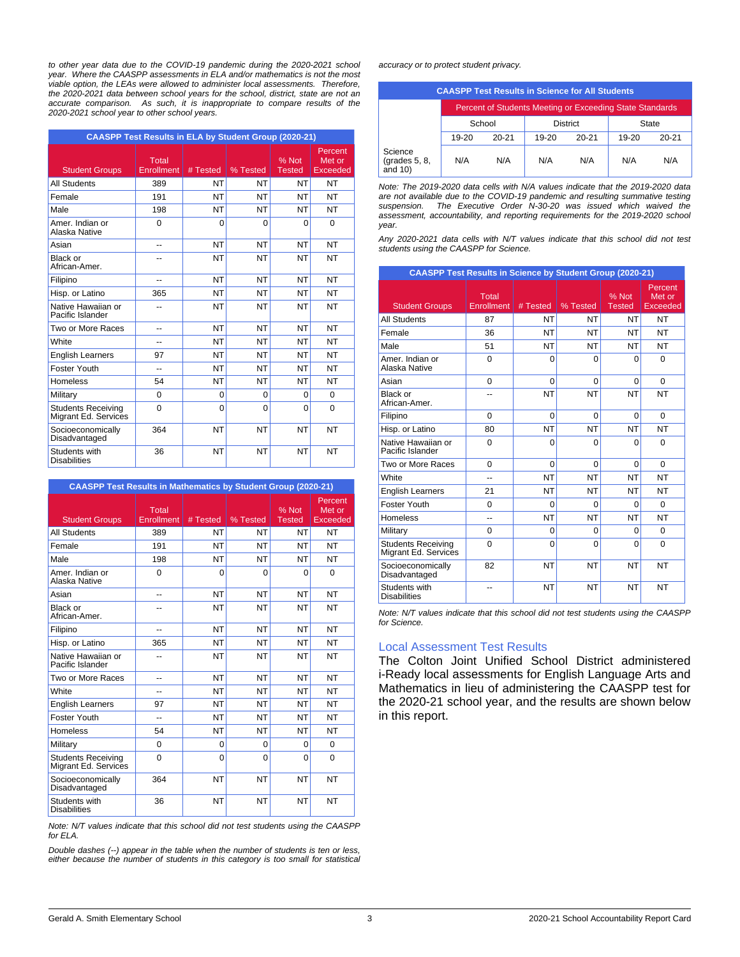*to other year data due to the COVID-19 pandemic during the 2020-2021 school year. Where the CAASPP assessments in ELA and/or mathematics is not the most viable option, the LEAs were allowed to administer local assessments. Therefore, the 2020-2021 data between school years for the school, district, state are not an accurate comparison. As such, it is inappropriate to compare results of the 2020-2021 school year to other school years.*

|                                                   | <b>CAASPP Test Results in ELA by Student Group (2020-21)</b> |           |           |                        |                                      |
|---------------------------------------------------|--------------------------------------------------------------|-----------|-----------|------------------------|--------------------------------------|
| <b>Student Groups</b>                             | $\overline{\mathrm{Total}}$<br><b>Enrollment</b>             | # Tested  | % Tested  | % Not<br><b>Tested</b> | Percent<br>Met or<br><b>Exceeded</b> |
| <b>All Students</b>                               | 389                                                          | NT        | <b>NT</b> | NT                     | <b>NT</b>                            |
| Female                                            | 191                                                          | NT        | <b>NT</b> | NT                     | <b>NT</b>                            |
| Male                                              | 198                                                          | NT        | <b>NT</b> | NT                     | <b>NT</b>                            |
| Amer, Indian or<br>Alaska Native                  | $\Omega$                                                     | $\Omega$  | $\Omega$  | $\Omega$               | $\Omega$                             |
| Asian                                             | --                                                           | NT        | <b>NT</b> | NT                     | <b>NT</b>                            |
| Black or<br>African-Amer.                         |                                                              | NT        | <b>NT</b> | NT                     | <b>NT</b>                            |
| Filipino                                          | --                                                           | <b>NT</b> | <b>NT</b> | <b>NT</b>              | NT                                   |
| Hisp. or Latino                                   | 365                                                          | NT        | <b>NT</b> | NT                     | NT                                   |
| Native Hawaiian or<br>Pacific Islander            | --                                                           | <b>NT</b> | <b>NT</b> | <b>NT</b>              | NT                                   |
| Two or More Races                                 | --                                                           | NT        | <b>NT</b> | <b>NT</b>              | NT                                   |
| White                                             | --                                                           | NT        | <b>NT</b> | <b>NT</b>              | NT                                   |
| <b>English Learners</b>                           | 97                                                           | <b>NT</b> | <b>NT</b> | <b>NT</b>              | <b>NT</b>                            |
| Foster Youth                                      | ۵.                                                           | <b>NT</b> | <b>NT</b> | <b>NT</b>              | NT                                   |
| <b>Homeless</b>                                   | 54                                                           | NT        | <b>NT</b> | NT                     | <b>NT</b>                            |
| Military                                          | 0                                                            | 0         | $\Omega$  | 0                      | $\Omega$                             |
| <b>Students Receiving</b><br>Migrant Ed. Services | $\Omega$                                                     | $\Omega$  | $\Omega$  | $\Omega$               | $\Omega$                             |
| Socioeconomically<br>Disadvantaged                | 364                                                          | NT        | <b>NT</b> | <b>NT</b>              | <b>NT</b>                            |
| Students with<br><b>Disabilities</b>              | 36                                                           | NT        | <b>NT</b> | <b>NT</b>              | NT                                   |

**CAASPP Test Results in Mathematics by Student Group (2020-21)**

| <b>Student Groups</b>                             | Total<br>Enrollment | # Tested  | % Tested  | % Not<br>Tested | Percent<br>Met or<br><b>Exceeded</b> |
|---------------------------------------------------|---------------------|-----------|-----------|-----------------|--------------------------------------|
| <b>All Students</b>                               | 389                 | NT        | NT        | NT              | <b>NT</b>                            |
| Female                                            | 191                 | <b>NT</b> | <b>NT</b> | <b>NT</b>       | NT                                   |
| Male                                              | 198                 | NT        | NT        | <b>NT</b>       | NT                                   |
| Amer, Indian or<br>Alaska Native                  | $\Omega$            | $\Omega$  | $\Omega$  | $\Omega$        | $\Omega$                             |
| Asian                                             |                     | NT        | NT        | NT              | NT                                   |
| Black or<br>African-Amer.                         |                     | NT        | NT        | NT              | NT                                   |
| Filipino                                          | --                  | <b>NT</b> | <b>NT</b> | <b>NT</b>       | <b>NT</b>                            |
| Hisp. or Latino                                   | 365                 | NT        | NT        | <b>NT</b>       | <b>NT</b>                            |
| Native Hawaiian or<br>Pacific Islander            |                     | NT        | <b>NT</b> | <b>NT</b>       | <b>NT</b>                            |
| Two or More Races                                 | --                  | NT        | <b>NT</b> | NT              | <b>NT</b>                            |
| White                                             | --                  | <b>NT</b> | <b>NT</b> | <b>NT</b>       | <b>NT</b>                            |
| <b>English Learners</b>                           | 97                  | <b>NT</b> | <b>NT</b> | <b>NT</b>       | <b>NT</b>                            |
| Foster Youth                                      | --                  | NT        | <b>NT</b> | <b>NT</b>       | NT                                   |
| <b>Homeless</b>                                   | 54                  | <b>NT</b> | <b>NT</b> | <b>NT</b>       | NT                                   |
| Military                                          | $\Omega$            | $\Omega$  | $\Omega$  | $\Omega$        | $\Omega$                             |
| <b>Students Receiving</b><br>Migrant Ed. Services | $\Omega$            | $\Omega$  | $\Omega$  | $\Omega$        | $\Omega$                             |
| Socioeconomically<br>Disadvantaged                | 364                 | NT        | NT        | <b>NT</b>       | NT                                   |
| Students with<br><b>Disabilities</b>              | 36                  | NT        | NT        | <b>NT</b>       | NT                                   |

*Note: N/T values indicate that this school did not test students using the CAASPP for ELA.*

*Double dashes (--) appear in the table when the number of students is ten or less, either because the number of students in this category is too small for statistical* *accuracy or to protect student privacy.*

|                                        |           |           |       | <b>CAASPP Test Results in Science for All Students</b>   |       |           |
|----------------------------------------|-----------|-----------|-------|----------------------------------------------------------|-------|-----------|
|                                        |           |           |       | Percent of Students Meeting or Exceeding State Standards |       |           |
|                                        |           | School    |       | <b>District</b>                                          |       | State     |
|                                        | $19 - 20$ | $20 - 21$ | 19-20 | $20 - 21$                                                | 19-20 | $20 - 21$ |
| Science<br>(grades 5, 8,<br>and $10$ ) | N/A       | N/A       | N/A   | N/A                                                      | N/A   | N/A       |

*Note: The 2019-2020 data cells with N/A values indicate that the 2019-2020 data are not available due to the COVID-19 pandemic and resulting summative testing suspension. The Executive Order N-30-20 was issued which waived the assessment, accountability, and reporting requirements for the 2019-2020 school year.*

*Any 2020-2021 data cells with N/T values indicate that this school did not test students using the CAASPP for Science.*

| <b>CAASPP Test Results in Science by Student Group (2020-21)</b> |                     |           |           |                        |                                      |
|------------------------------------------------------------------|---------------------|-----------|-----------|------------------------|--------------------------------------|
| <b>Student Groups</b>                                            | Total<br>Enrollment | # Tested  | % Tested  | % Not<br><b>Tested</b> | Percent<br>Met or<br><b>Exceeded</b> |
| <b>All Students</b>                                              | 87                  | <b>NT</b> | NT        | <b>NT</b>              | <b>NT</b>                            |
| Female                                                           | 36                  | <b>NT</b> | <b>NT</b> | <b>NT</b>              | <b>NT</b>                            |
| Male                                                             | 51                  | <b>NT</b> | NT        | NT                     | <b>NT</b>                            |
| Amer. Indian or<br>Alaska Native                                 | $\Omega$            | 0         | 0         | $\Omega$               | $\Omega$                             |
| Asian                                                            | $\Omega$            | $\Omega$  | $\Omega$  | $\Omega$               | $\Omega$                             |
| Black or<br>African-Amer.                                        | --                  | <b>NT</b> | <b>NT</b> | <b>NT</b>              | <b>NT</b>                            |
| Filipino                                                         | $\Omega$            | $\Omega$  | $\Omega$  | $\Omega$               | $\Omega$                             |
| Hisp. or Latino                                                  | 80                  | <b>NT</b> | <b>NT</b> | <b>NT</b>              | <b>NT</b>                            |
| Native Hawaiian or<br>Pacific Islander                           | $\Omega$            | 0         | 0         | $\Omega$               | $\Omega$                             |
| Two or More Races                                                | $\Omega$            | $\Omega$  | $\Omega$  | $\Omega$               | $\Omega$                             |
| <b>White</b>                                                     | $\overline{a}$      | <b>NT</b> | <b>NT</b> | NT                     | <b>NT</b>                            |
| <b>English Learners</b>                                          | 21                  | <b>NT</b> | <b>NT</b> | NT                     | <b>NT</b>                            |
| Foster Youth                                                     | $\Omega$            | $\Omega$  | 0         | $\Omega$               | $\Omega$                             |
| <b>Homeless</b>                                                  | --                  | <b>NT</b> | <b>NT</b> | <b>NT</b>              | <b>NT</b>                            |
| Military                                                         | $\Omega$            | $\Omega$  | 0         | $\Omega$               | $\Omega$                             |
| <b>Students Receiving</b><br>Migrant Ed. Services                | $\Omega$            | $\Omega$  | $\Omega$  | $\Omega$               | $\Omega$                             |
| Socioeconomically<br>Disadvantaged                               | 82                  | <b>NT</b> | <b>NT</b> | <b>NT</b>              | <b>NT</b>                            |
| Students with<br><b>Disabilities</b>                             |                     | <b>NT</b> | <b>NT</b> | <b>NT</b>              | <b>NT</b>                            |

*Note: N/T values indicate that this school did not test students using the CAASPP for Science.*

#### Local Assessment Test Results

The Colton Joint Unified School District administered i-Ready local assessments for English Language Arts and Mathematics in lieu of administering the CAASPP test for the 2020-21 school year, and the results are shown below in this report.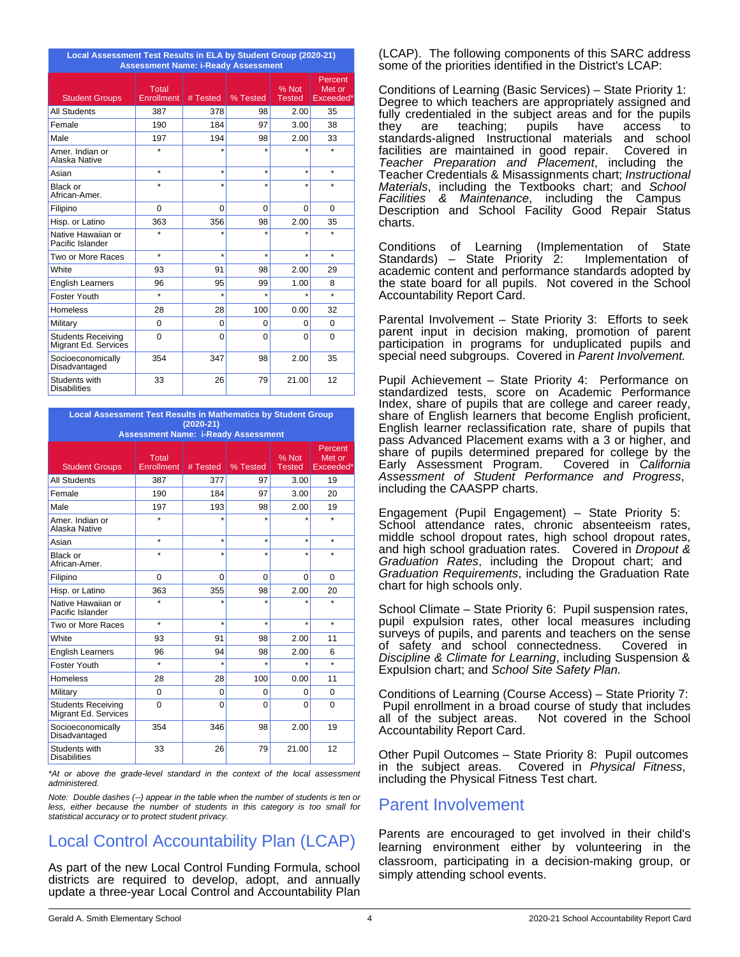| Local Assessment Test Results in ELA by Student Group (2020-21)<br><b>Assessment Name: i-Ready Assessment</b> |                     |          |                     |                        |                                |
|---------------------------------------------------------------------------------------------------------------|---------------------|----------|---------------------|------------------------|--------------------------------|
| <b>Student Groups</b>                                                                                         | Total<br>Enrollment | # Tested | % Tested            | % Not<br><b>Tested</b> | Percent<br>Met or<br>Exceeded* |
| <b>All Students</b>                                                                                           | 387                 | 378      | 98                  | 2.00                   | 35                             |
| Female                                                                                                        | 190                 | 184      | 97                  | 3.00                   | 38                             |
| Male                                                                                                          | 197                 | 194      | 98                  | 2.00                   | 33                             |
| Amer, Indian or<br>Alaska Native                                                                              | $\star$             |          |                     |                        |                                |
| Asian                                                                                                         | $\star$             | $\star$  | $\star$             | $\star$                | $\star$                        |
| <b>Black or</b><br>African-Amer.                                                                              | $\star$             | $\star$  | $\star$             | $\star$                | $\star$                        |
| Filipino                                                                                                      | $\Omega$            | $\Omega$ | $\Omega$            | $\Omega$               | $\Omega$                       |
| Hisp. or Latino                                                                                               | 363                 | 356      | 98                  | 2.00                   | 35                             |
| Native Hawaiian or<br>Pacific Islander                                                                        | ÷                   | $\star$  | $\star$             |                        |                                |
| Two or More Races                                                                                             | $\star$             | $\star$  | $\star$             | $\star$                | $\star$                        |
| White                                                                                                         | 93                  | 91       | 98                  | 2.00                   | 29                             |
| <b>English Learners</b>                                                                                       | 96                  | 95       | 99                  | 1.00                   | 8                              |
| Foster Youth                                                                                                  | $\star$             | ÷        | $\ddot{\textbf{x}}$ | $\star$                | $\star$                        |
| <b>Homeless</b>                                                                                               | 28                  | 28       | 100                 | 0.00                   | 32                             |
| Military                                                                                                      | $\Omega$            | $\Omega$ | $\Omega$            | $\Omega$               | $\Omega$                       |
| <b>Students Receiving</b><br>Migrant Ed. Services                                                             | 0                   | $\Omega$ | $\Omega$            | $\Omega$               | $\Omega$                       |
| Socioeconomically<br>Disadvantaged                                                                            | 354                 | 347      | 98                  | 2.00                   | 35                             |
| Students with<br><b>Disabilities</b>                                                                          | 33                  | 26       | 79                  | 21.00                  | 12                             |

**Local Assessment Test Results in Mathematics by Student Group (2020-21)**

| <b>Assessment Name: i-Ready Assessment</b>        |                     |          |          |                        |                                |
|---------------------------------------------------|---------------------|----------|----------|------------------------|--------------------------------|
| <b>Student Groups</b>                             | Total<br>Enrollment | # Tested | % Tested | % Not<br><b>Tested</b> | Percent<br>Met or<br>Exceeded* |
| <b>All Students</b>                               | 387                 | 377      | 97       | 3.00                   | 19                             |
| Female                                            | 190                 | 184      | 97       | 3.00                   | 20                             |
| Male                                              | 197                 | 193      | 98       | 2.00                   | 19                             |
| Amer, Indian or<br>Alaska Native                  | $\star$             | $\star$  |          | $\star$                | $\star$                        |
| Asian                                             | $\star$             | $\star$  | $\star$  | $\star$                | $\star$                        |
| Black or<br>African-Amer.                         | $\star$             | $\star$  | $\star$  | $\star$                | $\star$                        |
| Filipino                                          | $\Omega$            | $\Omega$ | $\Omega$ | $\Omega$               | $\Omega$                       |
| Hisp. or Latino                                   | 363                 | 355      | 98       | 2.00                   | 20                             |
| Native Hawaiian or<br>Pacific Islander            | $\star$             | $\star$  | $\star$  | $\star$                | $\star$                        |
| Two or More Races                                 | $\star$             | $\star$  | $\star$  | $\star$                | $\star$                        |
| White                                             | 93                  | 91       | 98       | 2.00                   | 11                             |
| <b>English Learners</b>                           | 96                  | 94       | 98       | 2.00                   | 6                              |
| Foster Youth                                      | $\star$             | $\star$  | $\star$  | $\star$                | $\star$                        |
| <b>Homeless</b>                                   | 28                  | 28       | 100      | 0.00                   | 11                             |
| Military                                          | $\Omega$            | $\Omega$ | $\Omega$ | 0                      | $\Omega$                       |
| <b>Students Receiving</b><br>Migrant Ed. Services | $\Omega$            | $\Omega$ | $\Omega$ | $\Omega$               | $\Omega$                       |
| Socioeconomically<br>Disadvantaged                | 354                 | 346      | 98       | 2.00                   | 19                             |
| Students with<br><b>Disabilities</b>              | 33                  | 26       | 79       | 21.00                  | 12                             |

*\*At or above the grade-level standard in the context of the local assessment administered.*

*Note: Double dashes (--) appear in the table when the number of students is ten or less, either because the number of students in this category is too small for statistical accuracy or to protect student privacy.*

# Local Control Accountability Plan (LCAP)

As part of the new Local Control Funding Formula, school districts are required to develop, adopt, and annually update a three-year Local Control and Accountability Plan (LCAP). The following components of this SARC address some of the priorities identified in the District's LCAP:

Conditions of Learning (Basic Services) – State Priority 1: Degree to which teachers are appropriately assigned and fully credentialed in the subject areas and for the pupils they are teaching; pupils have access to standards-aligned Instructional materials and school facilities are maintained in good repair. Covered in *Teacher Preparation and Placement*, including the Teacher Credentials & Misassignments chart; *Instructional Materials*, including the Textbooks chart; and *School Facilities & Maintenance*, including the Campus Description and School Facility Good Repair Status charts.

Conditions of Learning (Implementation of State Standards) – State Priority 2: academic content and performance standards adopted by the state board for all pupils. Not covered in the School Accountability Report Card.

Parental Involvement – State Priority 3: Efforts to seek parent input in decision making, promotion of parent participation in programs for unduplicated pupils and special need subgroups. Covered in *Parent Involvement.*

Pupil Achievement – State Priority 4: Performance on standardized tests, score on Academic Performance Index, share of pupils that are college and career ready, share of English learners that become English proficient, English learner reclassification rate, share of pupils that pass Advanced Placement exams with a 3 or higher, and share of pupils determined prepared for college by the<br>Early Assessment Program. Covered in California Early Assessment Program. *Assessment of Student Performance and Progress*, including the CAASPP charts.

Engagement (Pupil Engagement) – State Priority 5: School attendance rates, chronic absenteeism rates, middle school dropout rates, high school dropout rates, and high school graduation rates. Covered in *Dropout & Graduation Rates*, including the Dropout chart; and *Graduation Requirements*, including the Graduation Rate chart for high schools only.

School Climate – State Priority 6: Pupil suspension rates, pupil expulsion rates, other local measures including surveys of pupils, and parents and teachers on the sense of safety and school connectedness. Covered in *Discipline & Climate for Learning*, including Suspension & Expulsion chart; and *School Site Safety Plan.*

Conditions of Learning (Course Access) – State Priority 7: Pupil enrollment in a broad course of study that includes all of the subject areas. Accountability Report Card.

Other Pupil Outcomes – State Priority 8: Pupil outcomes in the subject areas. Covered in *Physical Fitness*, including the Physical Fitness Test chart.

## Parent Involvement

Parents are encouraged to get involved in their child's learning environment either by volunteering in the classroom, participating in a decision-making group, or simply attending school events.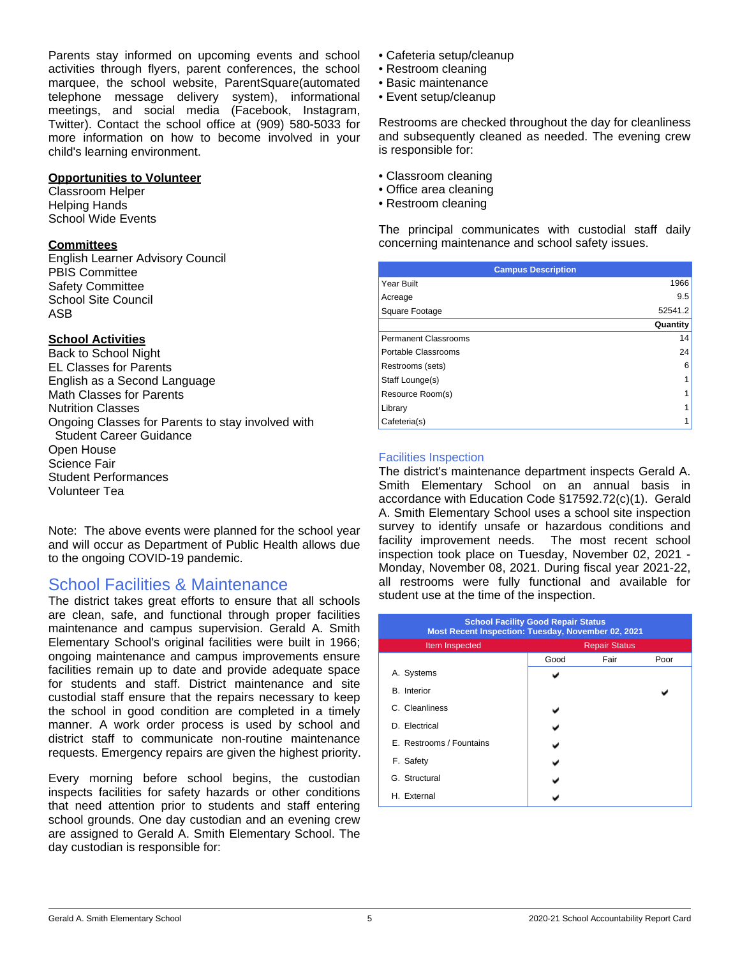Parents stay informed on upcoming events and school activities through flyers, parent conferences, the school marquee, the school website, ParentSquare(automated telephone message delivery system), informational meetings, and social media (Facebook, Instagram, Twitter). Contact the school office at (909) 580-5033 for more information on how to become involved in your child's learning environment.

### **Opportunities to Volunteer**

Classroom Helper Helping Hands School Wide Events

### **Committees**

English Learner Advisory Council PBIS Committee Safety Committee School Site Council ASB

## **School Activities**

Back to School Night EL Classes for Parents English as a Second Language Math Classes for Parents Nutrition Classes Ongoing Classes for Parents to stay involved with Student Career Guidance Open House Science Fair Student Performances Volunteer Tea

Note: The above events were planned for the school year and will occur as Department of Public Health allows due to the ongoing COVID-19 pandemic.

## School Facilities & Maintenance

The district takes great efforts to ensure that all schools are clean, safe, and functional through proper facilities maintenance and campus supervision. Gerald A. Smith Elementary School's original facilities were built in 1966; ongoing maintenance and campus improvements ensure facilities remain up to date and provide adequate space for students and staff. District maintenance and site custodial staff ensure that the repairs necessary to keep the school in good condition are completed in a timely manner. A work order process is used by school and district staff to communicate non-routine maintenance requests. Emergency repairs are given the highest priority.

Every morning before school begins, the custodian inspects facilities for safety hazards or other conditions that need attention prior to students and staff entering school grounds. One day custodian and an evening crew are assigned to Gerald A. Smith Elementary School. The day custodian is responsible for:

- Cafeteria setup/cleanup
- Restroom cleaning
- Basic maintenance
- Event setup/cleanup

Restrooms are checked throughout the day for cleanliness and subsequently cleaned as needed. The evening crew is responsible for:

- Classroom cleaning
- Office area cleaning
- Restroom cleaning

The principal communicates with custodial staff daily concerning maintenance and school safety issues.

| <b>Campus Description</b>   |          |
|-----------------------------|----------|
| Year Built                  | 1966     |
| Acreage                     | 9.5      |
| Square Footage              | 52541.2  |
|                             | Quantity |
| <b>Permanent Classrooms</b> | 14       |
| Portable Classrooms         | 24       |
| Restrooms (sets)            | 6        |
| Staff Lounge(s)             |          |
| Resource Room(s)            |          |
| Library                     |          |
| Cafeteria(s)                |          |

## Facilities Inspection

The district's maintenance department inspects Gerald A. Smith Elementary School on an annual basis in accordance with Education Code §17592.72(c)(1). Gerald A. Smith Elementary School uses a school site inspection survey to identify unsafe or hazardous conditions and facility improvement needs. The most recent school inspection took place on Tuesday, November 02, 2021 - Monday, November 08, 2021. During fiscal year 2021-22, all restrooms were fully functional and available for student use at the time of the inspection.

| <b>School Facility Good Repair Status</b><br>Most Recent Inspection: Tuesday, November 02, 2021 |      |                      |      |  |
|-------------------------------------------------------------------------------------------------|------|----------------------|------|--|
| Item Inspected                                                                                  |      | <b>Repair Status</b> |      |  |
|                                                                                                 | Good | Fair                 | Poor |  |
| A. Systems                                                                                      |      |                      |      |  |
| <b>B.</b> Interior                                                                              |      |                      |      |  |
| C. Cleanliness                                                                                  |      |                      |      |  |
| D. Electrical                                                                                   |      |                      |      |  |
| E. Restrooms / Fountains                                                                        |      |                      |      |  |
| F. Safety                                                                                       |      |                      |      |  |
| G. Structural                                                                                   |      |                      |      |  |
| H. External                                                                                     |      |                      |      |  |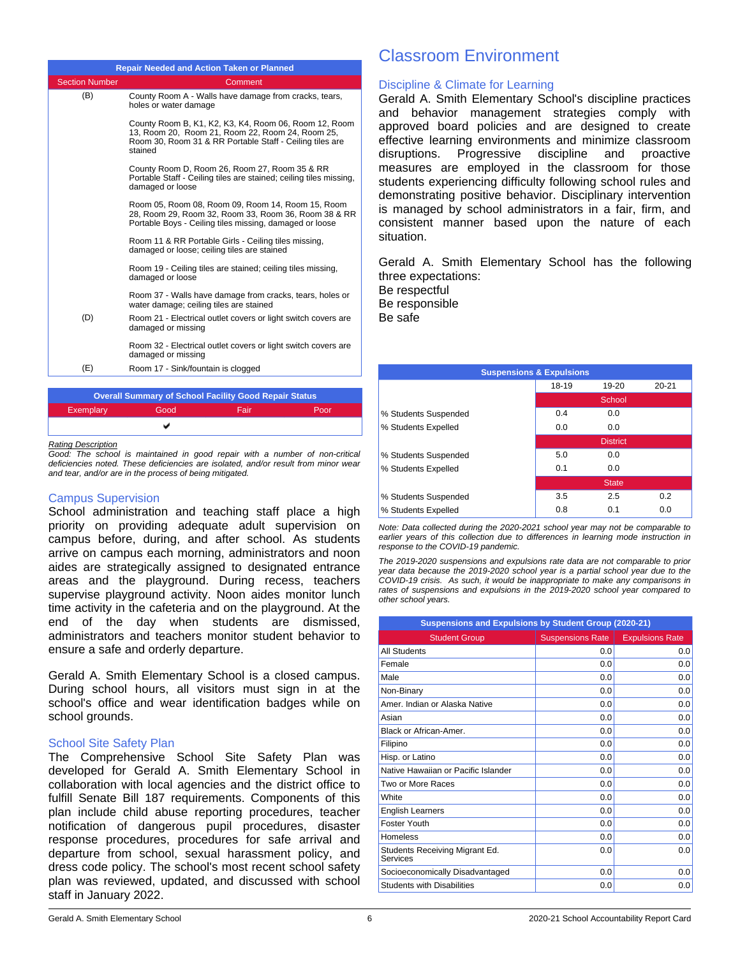|                       | <b>Repair Needed and Action Taken or Planned</b>                                                                                                                                 |
|-----------------------|----------------------------------------------------------------------------------------------------------------------------------------------------------------------------------|
| <b>Section Number</b> | Comment                                                                                                                                                                          |
| (B)                   | County Room A - Walls have damage from cracks, tears,<br>holes or water damage                                                                                                   |
|                       | County Room B, K1, K2, K3, K4, Room 06, Room 12, Room<br>13, Room 20, Room 21, Room 22, Room 24, Room 25,<br>Room 30, Room 31 & RR Portable Staff - Ceiling tiles are<br>stained |
|                       | County Room D, Room 26, Room 27, Room 35 & RR<br>Portable Staff - Ceiling tiles are stained; ceiling tiles missing,<br>damaged or loose                                          |
|                       | Room 05, Room 08, Room 09, Room 14, Room 15, Room<br>28, Room 29, Room 32, Room 33, Room 36, Room 38 & RR<br>Portable Boys - Ceiling tiles missing, damaged or loose             |
|                       | Room 11 & RR Portable Girls - Ceiling tiles missing,<br>damaged or loose; ceiling tiles are stained                                                                              |
|                       | Room 19 - Ceiling tiles are stained; ceiling tiles missing,<br>damaged or loose                                                                                                  |
|                       | Room 37 - Walls have damage from cracks, tears, holes or<br>water damage; ceiling tiles are stained                                                                              |
| (D)                   | Room 21 - Electrical outlet covers or light switch covers are<br>damaged or missing                                                                                              |
|                       | Room 32 - Electrical outlet covers or light switch covers are<br>damaged or missing                                                                                              |
| (E)                   | Room 17 - Sink/fountain is clogged                                                                                                                                               |
|                       |                                                                                                                                                                                  |
|                       | <b>Overall Summary of School Facility Good Repair Status</b>                                                                                                                     |

#### *Rating Description*

*Good: The school is maintained in good repair with a number of non-critical deficiencies noted. These deficiencies are isolated, and/or result from minor wear and tear, and/or are in the process of being mitigated.*

Exemplary Good Fair Poor

v

#### Campus Supervision

School administration and teaching staff place a high priority on providing adequate adult supervision on campus before, during, and after school. As students arrive on campus each morning, administrators and noon aides are strategically assigned to designated entrance areas and the playground. During recess, teachers supervise playground activity. Noon aides monitor lunch time activity in the cafeteria and on the playground. At the end of the day when students are dismissed, administrators and teachers monitor student behavior to ensure a safe and orderly departure.

Gerald A. Smith Elementary School is a closed campus. During school hours, all visitors must sign in at the school's office and wear identification badges while on school grounds.

#### School Site Safety Plan

The Comprehensive School Site Safety Plan was developed for Gerald A. Smith Elementary School in collaboration with local agencies and the district office to fulfill Senate Bill 187 requirements. Components of this plan include child abuse reporting procedures, teacher notification of dangerous pupil procedures, disaster response procedures, procedures for safe arrival and departure from school, sexual harassment policy, and dress code policy. The school's most recent school safety plan was reviewed, updated, and discussed with school staff in January 2022.

## Classroom Environment

#### Discipline & Climate for Learning

Gerald A. Smith Elementary School's discipline practices and behavior management strategies comply with approved board policies and are designed to create effective learning environments and minimize classroom disruptions. Progressive discipline and proactive measures are employed in the classroom for those students experiencing difficulty following school rules and demonstrating positive behavior. Disciplinary intervention is managed by school administrators in a fair, firm, and consistent manner based upon the nature of each situation.

Gerald A. Smith Elementary School has the following three expectations: Be respectful

Be responsible Be safe

| <b>Suspensions &amp; Expulsions</b> |       |                 |           |  |
|-------------------------------------|-------|-----------------|-----------|--|
|                                     | 18-19 | 19-20           | $20 - 21$ |  |
|                                     |       | School          |           |  |
| % Students Suspended                | 0.4   | 0.0             |           |  |
| % Students Expelled                 | 0.0   | 0.0             |           |  |
|                                     |       | <b>District</b> |           |  |
| % Students Suspended                | 5.0   | 0.0             |           |  |
| % Students Expelled                 | 0.1   | 0.0             |           |  |
|                                     |       | <b>State</b>    |           |  |
| % Students Suspended                | 3.5   | 2.5             | 0.2       |  |
| % Students Expelled                 | 0.8   | 0.1             | 0.0       |  |

*Note: Data collected during the 2020-2021 school year may not be comparable to earlier years of this collection due to differences in learning mode instruction in response to the COVID-19 pandemic.*

*The 2019-2020 suspensions and expulsions rate data are not comparable to prior year data because the 2019-2020 school year is a partial school year due to the COVID-19 crisis. As such, it would be inappropriate to make any comparisons in rates of suspensions and expulsions in the 2019-2020 school year compared to other school years.*

| Suspensions and Expulsions by Student Group (2020-21) |                         |                        |  |
|-------------------------------------------------------|-------------------------|------------------------|--|
| <b>Student Group</b>                                  | <b>Suspensions Rate</b> | <b>Expulsions Rate</b> |  |
| <b>All Students</b>                                   | 0.0                     | 0.0                    |  |
| Female                                                | 0.0                     | 0.0                    |  |
| Male                                                  | 0.0                     | 0.0                    |  |
| Non-Binary                                            | 0.0                     | 0.0                    |  |
| Amer, Indian or Alaska Native                         | 0.0                     | 0.0                    |  |
| Asian                                                 | 0.0                     | 0.0                    |  |
| Black or African-Amer.                                | 0.0                     | 0.0                    |  |
| Filipino                                              | 0.0                     | 0.0                    |  |
| Hisp. or Latino                                       | 0.0                     | 0.0                    |  |
| Native Hawaiian or Pacific Islander                   | 0.0                     | 0.0                    |  |
| Two or More Races                                     | 0.0                     | 0.0                    |  |
| White                                                 | 0.0                     | 0.0                    |  |
| <b>English Learners</b>                               | 0.0                     | 0.0                    |  |
| <b>Foster Youth</b>                                   | 0.0                     | 0.0                    |  |
| Homeless                                              | 0.0                     | 0.0                    |  |
| Students Receiving Migrant Ed.<br>Services            | 0.0                     | 0.0                    |  |
| Socioeconomically Disadvantaged                       | 0.0                     | 0.0                    |  |
| <b>Students with Disabilities</b>                     | 0.0                     | 0.0                    |  |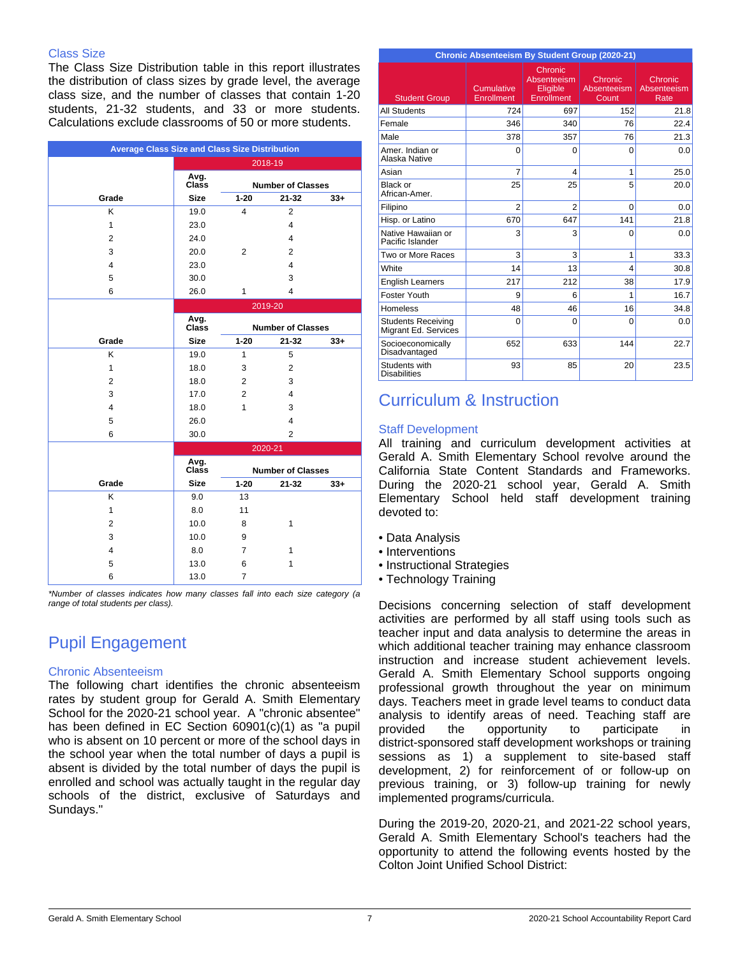### Class Size

The Class Size Distribution table in this report illustrates the distribution of class sizes by grade level, the average class size, and the number of classes that contain 1-20 students, 21-32 students, and 33 or more students. Calculations exclude classrooms of 50 or more students.

| <b>Average Class Size and Class Size Distribution</b> |               |                          |                          |        |
|-------------------------------------------------------|---------------|--------------------------|--------------------------|--------|
|                                                       | 2018-19       |                          |                          |        |
|                                                       | Avg.<br>Class | <b>Number of Classes</b> |                          |        |
| Grade                                                 | <b>Size</b>   | $1 - 20$                 | $21 - 32$                | $33+$  |
| K                                                     | 19.0          | 4                        | $\overline{2}$           |        |
| 1                                                     | 23.0          |                          | 4                        |        |
| $\overline{2}$                                        | 24.0          |                          | $\overline{4}$           |        |
| 3                                                     | 20.0          | $\overline{2}$           | $\overline{2}$           |        |
| $\overline{4}$                                        | 23.0          |                          | $\overline{4}$           |        |
| 5                                                     | 30.0          |                          | 3                        |        |
| 6                                                     | 26.0          | 1                        | $\overline{4}$           |        |
|                                                       |               |                          | 2019-20                  |        |
|                                                       | Avg.          |                          |                          |        |
|                                                       | <b>Class</b>  |                          | <b>Number of Classes</b> |        |
| Grade                                                 | <b>Size</b>   | $1 - 20$                 | $21 - 32$                | $33 +$ |
| K                                                     | 19.0          | 1                        | 5                        |        |
| 1                                                     | 18.0          | 3                        | $\overline{2}$           |        |
| $\overline{2}$                                        | 18.0          | $\overline{2}$           | 3                        |        |
| 3                                                     | 17.0          | $\overline{2}$           | $\overline{4}$           |        |
| 4                                                     | 18.0          | 1                        | 3                        |        |
| 5                                                     | 26.0          |                          | 4                        |        |
| 6                                                     | 30.0          |                          | $\overline{2}$           |        |
|                                                       |               |                          | 2020-21                  |        |
|                                                       | Avg.<br>Class |                          | <b>Number of Classes</b> |        |
| Grade                                                 | <b>Size</b>   | $1 - 20$                 | $21 - 32$                | $33+$  |
| ĸ                                                     | 9.0           | 13                       |                          |        |
| 1                                                     | 8.0           | 11                       |                          |        |
| $\overline{2}$                                        | 10.0          | 8                        | 1                        |        |
| 3                                                     | 10.0          | 9                        |                          |        |
| 4                                                     | 8.0           | 7                        | $\mathbf{1}$             |        |
| 5                                                     | 13.0          | 6                        | $\mathbf{1}$             |        |
| 6                                                     | 13.0          | $\overline{7}$           |                          |        |

*\*Number of classes indicates how many classes fall into each size category (a range of total students per class).*

# Pupil Engagement

### Chronic Absenteeism

The following chart identifies the chronic absenteeism rates by student group for Gerald A. Smith Elementary School for the 2020-21 school year. A "chronic absentee" has been defined in EC Section 60901(c)(1) as "a pupil who is absent on 10 percent or more of the school days in the school year when the total number of days a pupil is absent is divided by the total number of days the pupil is enrolled and school was actually taught in the regular day schools of the district, exclusive of Saturdays and Sundays."

| <b>Chronic Absenteeism By Student Group (2020-21)</b> |                          |                                                  |                                 |                                |
|-------------------------------------------------------|--------------------------|--------------------------------------------------|---------------------------------|--------------------------------|
| <b>Student Group</b>                                  | Cumulative<br>Enrollment | Chronic<br>Absenteeism<br>Eligible<br>Enrollment | Chronic<br>Absenteeism<br>Count | Chronic<br>Absenteeism<br>Rate |
| <b>All Students</b>                                   | 724                      | 697                                              | 152                             | 21.8                           |
| Female                                                | 346                      | 340                                              | 76                              | 22.4                           |
| Male                                                  | 378                      | 357                                              | 76                              | 21.3                           |
| Amer, Indian or<br>Alaska Native                      | $\Omega$                 | $\Omega$                                         | 0                               | 0.0                            |
| Asian                                                 | $\overline{7}$           | $\overline{\mathbf{4}}$                          | 1                               | 25.0                           |
| Black or<br>African-Amer.                             | 25                       | 25                                               | 5                               | 20.0                           |
| Filipino                                              | $\overline{2}$           | $\overline{2}$                                   | $\Omega$                        | 0.0                            |
| Hisp. or Latino                                       | 670                      | 647                                              | 141                             | 21.8                           |
| Native Hawaiian or<br>Pacific Islander                | 3                        | 3                                                | $\Omega$                        | 0.0                            |
| Two or More Races                                     | 3                        | 3                                                | 1                               | 33.3                           |
| White                                                 | 14                       | 13                                               | 4                               | 30.8                           |
| <b>English Learners</b>                               | 217                      | 212                                              | 38                              | 17.9                           |
| Foster Youth                                          | 9                        | 6                                                | 1                               | 16.7                           |
| <b>Homeless</b>                                       | 48                       | 46                                               | 16                              | 34.8                           |
| <b>Students Receiving</b><br>Migrant Ed. Services     | $\Omega$                 | $\Omega$                                         | $\Omega$                        | 0.0                            |
| Socioeconomically<br>Disadvantaged                    | 652                      | 633                                              | 144                             | 22.7                           |
| Students with<br><b>Disabilities</b>                  | 93                       | 85                                               | 20                              | 23.5                           |

## Curriculum & Instruction

## Staff Development

All training and curriculum development activities at Gerald A. Smith Elementary School revolve around the California State Content Standards and Frameworks. During the 2020-21 school year, Gerald A. Smith Elementary School held staff development training devoted to:

- Data Analysis
- Interventions
- Instructional Strategies
- Technology Training

Decisions concerning selection of staff development activities are performed by all staff using tools such as teacher input and data analysis to determine the areas in which additional teacher training may enhance classroom instruction and increase student achievement levels. Gerald A. Smith Elementary School supports ongoing professional growth throughout the year on minimum days. Teachers meet in grade level teams to conduct data analysis to identify areas of need. Teaching staff are provided the opportunity to participate in district-sponsored staff development workshops or training sessions as 1) a supplement to site-based staff development, 2) for reinforcement of or follow-up on previous training, or 3) follow-up training for newly implemented programs/curricula.

During the 2019-20, 2020-21, and 2021-22 school years, Gerald A. Smith Elementary School's teachers had the opportunity to attend the following events hosted by the Colton Joint Unified School District: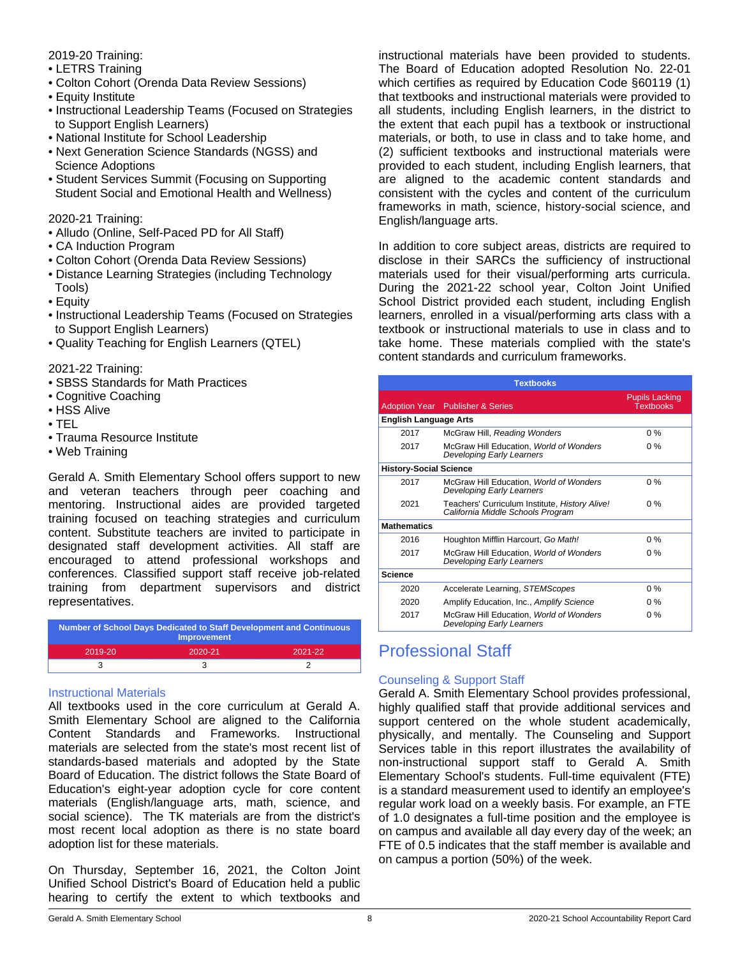## 2019-20 Training:

- LETRS Training
- Colton Cohort (Orenda Data Review Sessions)
- Equity Institute
- Instructional Leadership Teams (Focused on Strategies to Support English Learners)
- National Institute for School Leadership
- Next Generation Science Standards (NGSS) and Science Adoptions
- Student Services Summit (Focusing on Supporting Student Social and Emotional Health and Wellness)

2020-21 Training:

- Alludo (Online, Self-Paced PD for All Staff)
- CA Induction Program
- Colton Cohort (Orenda Data Review Sessions)
- Distance Learning Strategies (including Technology Tools)
- Equity
- Instructional Leadership Teams (Focused on Strategies to Support English Learners)
- Quality Teaching for English Learners (QTEL)

2021-22 Training:

- SBSS Standards for Math Practices
- Cognitive Coaching
- HSS Alive
- TEL
- Trauma Resource Institute
- Web Training

Gerald A. Smith Elementary School offers support to new and veteran teachers through peer coaching and mentoring. Instructional aides are provided targeted training focused on teaching strategies and curriculum content. Substitute teachers are invited to participate in designated staff development activities. All staff are encouraged to attend professional workshops and conferences. Classified support staff receive job-related training from department supervisors and district representatives.

| Number of School Days Dedicated to Staff Development and Continuous<br>Improvement |         |         |  |
|------------------------------------------------------------------------------------|---------|---------|--|
| 2019-20                                                                            | 2020-21 | 2021-22 |  |
|                                                                                    |         |         |  |

## Instructional Materials

All textbooks used in the core curriculum at Gerald A. Smith Elementary School are aligned to the California Content Standards and Frameworks. Instructional materials are selected from the state's most recent list of standards-based materials and adopted by the State Board of Education. The district follows the State Board of Education's eight-year adoption cycle for core content materials (English/language arts, math, science, and social science). The TK materials are from the district's most recent local adoption as there is no state board adoption list for these materials.

On Thursday, September 16, 2021, the Colton Joint Unified School District's Board of Education held a public hearing to certify the extent to which textbooks and instructional materials have been provided to students. The Board of Education adopted Resolution No. 22-01 which certifies as required by Education Code §60119 (1) that textbooks and instructional materials were provided to all students, including English learners, in the district to the extent that each pupil has a textbook or instructional materials, or both, to use in class and to take home, and (2) sufficient textbooks and instructional materials were provided to each student, including English learners, that are aligned to the academic content standards and consistent with the cycles and content of the curriculum frameworks in math, science, history-social science, and English/language arts.

In addition to core subject areas, districts are required to disclose in their SARCs the sufficiency of instructional materials used for their visual/performing arts curricula. During the 2021-22 school year, Colton Joint Unified School District provided each student, including English learners, enrolled in a visual/performing arts class with a textbook or instructional materials to use in class and to take home. These materials complied with the state's content standards and curriculum frameworks.

|                               | <b>Textbooks</b>                                                                    |                                           |  |  |  |
|-------------------------------|-------------------------------------------------------------------------------------|-------------------------------------------|--|--|--|
|                               | <b>Adoption Year</b> Publisher & Series                                             | <b>Pupils Lacking</b><br><b>Textbooks</b> |  |  |  |
| <b>English Language Arts</b>  |                                                                                     |                                           |  |  |  |
| 2017                          | McGraw Hill, Reading Wonders                                                        | $0\%$                                     |  |  |  |
| 2017                          | McGraw Hill Education, World of Wonders<br><b>Developing Early Learners</b>         | $0\%$                                     |  |  |  |
| <b>History-Social Science</b> |                                                                                     |                                           |  |  |  |
| 2017                          | McGraw Hill Education, World of Wonders<br>Developing Early Learners                | $0\%$                                     |  |  |  |
| 2021                          | Teachers' Curriculum Institute, History Alive!<br>California Middle Schools Program | $0\%$                                     |  |  |  |
| <b>Mathematics</b>            |                                                                                     |                                           |  |  |  |
| 2016                          | Houghton Mifflin Harcourt, Go Math!                                                 | $0\%$                                     |  |  |  |
| 2017                          | McGraw Hill Education, World of Wonders<br>Developing Early Learners                | $0\%$                                     |  |  |  |
| <b>Science</b>                |                                                                                     |                                           |  |  |  |
| 2020                          | Accelerate Learning, STEMScopes                                                     | $0\%$                                     |  |  |  |
| 2020                          | Amplify Education, Inc., Amplify Science                                            | $0\%$                                     |  |  |  |
| 2017                          | McGraw Hill Education, World of Wonders<br>Developing Early Learners                | $0\%$                                     |  |  |  |

## Professional Staff

## Counseling & Support Staff

Gerald A. Smith Elementary School provides professional, highly qualified staff that provide additional services and support centered on the whole student academically, physically, and mentally. The Counseling and Support Services table in this report illustrates the availability of non-instructional support staff to Gerald A. Smith Elementary School's students. Full-time equivalent (FTE) is a standard measurement used to identify an employee's regular work load on a weekly basis. For example, an FTE of 1.0 designates a full-time position and the employee is on campus and available all day every day of the week; an FTE of 0.5 indicates that the staff member is available and on campus a portion (50%) of the week.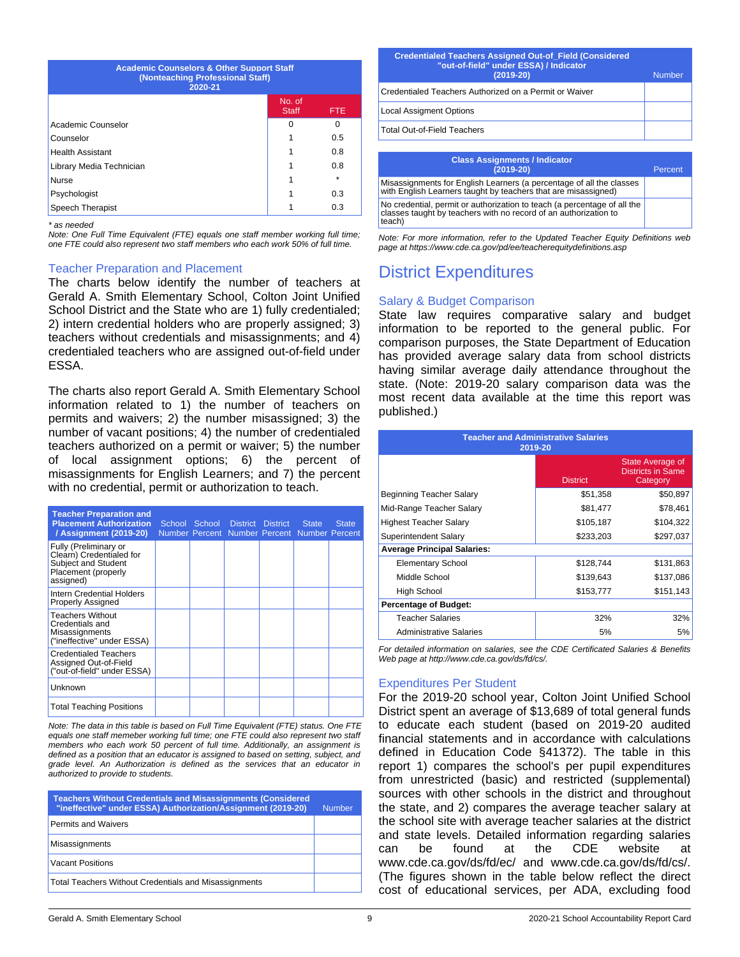| <b>Academic Counselors &amp; Other Support Staff</b><br>(Nonteaching Professional Staff)<br>2020-21 |                        |            |  |
|-----------------------------------------------------------------------------------------------------|------------------------|------------|--|
|                                                                                                     | No. of<br><b>Staff</b> | <b>FTE</b> |  |
| Academic Counselor                                                                                  | O                      | O          |  |
| Counselor                                                                                           |                        | 0.5        |  |
| <b>Health Assistant</b>                                                                             |                        | 0.8        |  |
| Library Media Technician                                                                            |                        | 0.8        |  |
| <b>Nurse</b>                                                                                        |                        | ÷          |  |
| Psychologist                                                                                        |                        | 0.3        |  |
| Speech Therapist                                                                                    |                        | 0.3        |  |

*\* as needed*

*Note: One Full Time Equivalent (FTE) equals one staff member working full time; one FTE could also represent two staff members who each work 50% of full time.*

#### Teacher Preparation and Placement

The charts below identify the number of teachers at Gerald A. Smith Elementary School, Colton Joint Unified School District and the State who are 1) fully credentialed; 2) intern credential holders who are properly assigned; 3) teachers without credentials and misassignments; and 4) credentialed teachers who are assigned out-of-field under ESSA.

The charts also report Gerald A. Smith Elementary School information related to 1) the number of teachers on permits and waivers; 2) the number misassigned; 3) the number of vacant positions; 4) the number of credentialed teachers authorized on a permit or waiver; 5) the number of local assignment options; 6) the percent of misassignments for English Learners; and 7) the percent with no credential, permit or authorization to teach.

| <b>Teacher Preparation and</b><br><b>Placement Authorization</b><br>/ Assignment (2019-20)                   | School School District District State<br>Number Percent Number Percent Number Percent |  | <b>State</b> |
|--------------------------------------------------------------------------------------------------------------|---------------------------------------------------------------------------------------|--|--------------|
| Fully (Preliminary or<br>Clearn) Credentialed for<br>Subject and Student<br>Placement (properly<br>assigned) |                                                                                       |  |              |
| Intern Credential Holders<br><b>Properly Assigned</b>                                                        |                                                                                       |  |              |
| <b>Teachers Without</b><br>Credentials and<br>Misassignments<br>("ineffective" under ESSA)                   |                                                                                       |  |              |
| <b>Credentialed Teachers</b><br>Assigned Out-of-Field<br>("out-of-field" under ESSA)                         |                                                                                       |  |              |
| Unknown                                                                                                      |                                                                                       |  |              |
| <b>Total Teaching Positions</b>                                                                              |                                                                                       |  |              |

*Note: The data in this table is based on Full Time Equivalent (FTE) status. One FTE equals one staff memeber working full time; one FTE could also represent two staff members who each work 50 percent of full time. Additionally, an assignment is defined as a position that an educator is assigned to based on setting, subject, and grade level. An Authorization is defined as the services that an educator in authorized to provide to students.*

| <b>Teachers Without Credentials and Misassignments (Considered)</b><br>"ineffective" under ESSA) Authorization/Assignment (2019-20) | <b>Number</b> |
|-------------------------------------------------------------------------------------------------------------------------------------|---------------|
| <b>Permits and Waivers</b>                                                                                                          |               |
| Misassignments                                                                                                                      |               |
| <b>Vacant Positions</b>                                                                                                             |               |
| <b>Total Teachers Without Credentials and Misassignments</b>                                                                        |               |

| <b>Credentialed Teachers Assigned Out-of Field (Considered</b><br>"out-of-field" under ESSA) / Indicator<br>$(2019 - 20)$ | <b>Number</b> |
|---------------------------------------------------------------------------------------------------------------------------|---------------|
| Credentialed Teachers Authorized on a Permit or Waiver                                                                    |               |
| <b>Local Assigment Options</b>                                                                                            |               |
| <b>Total Out-of-Field Teachers</b>                                                                                        |               |
|                                                                                                                           |               |

| <b>Class Assignments / Indicator</b><br>$(2019-20)$                                                                                                    | Percent |
|--------------------------------------------------------------------------------------------------------------------------------------------------------|---------|
| Misassignments for English Learners (a percentage of all the classes<br>with English Learners taught by teachers that are misassigned)                 |         |
| No credential, permit or authorization to teach (a percentage of all the<br>classes taught by teachers with no record of an authorization to<br>teach) |         |

*Note: For more information, refer to the Updated Teacher Equity Definitions web page at https://www.cde.ca.gov/pd/ee/teacherequitydefinitions.asp*

## District Expenditures

### Salary & Budget Comparison

State law requires comparative salary and budget information to be reported to the general public. For comparison purposes, the State Department of Education has provided average salary data from school districts having similar average daily attendance throughout the state. (Note: 2019-20 salary comparison data was the most recent data available at the time this report was published.)

| <b>Teacher and Administrative Salaries</b><br>2019-20 |                 |                                                          |  |  |
|-------------------------------------------------------|-----------------|----------------------------------------------------------|--|--|
|                                                       | <b>District</b> | State Average of<br><b>Districts in Same</b><br>Category |  |  |
| Beginning Teacher Salary                              | \$51,358        | \$50,897                                                 |  |  |
| Mid-Range Teacher Salary                              | \$81,477        | \$78,461                                                 |  |  |
| <b>Highest Teacher Salary</b>                         | \$105,187       | \$104,322                                                |  |  |
| Superintendent Salary                                 | \$233,203       | \$297,037                                                |  |  |
| <b>Average Principal Salaries:</b>                    |                 |                                                          |  |  |
| <b>Elementary School</b>                              | \$128,744       | \$131,863                                                |  |  |
| Middle School                                         | \$139,643       | \$137,086                                                |  |  |
| High School                                           | \$153,777       | \$151,143                                                |  |  |
| <b>Percentage of Budget:</b>                          |                 |                                                          |  |  |
| <b>Teacher Salaries</b>                               | 32%             | 32%                                                      |  |  |
| <b>Administrative Salaries</b>                        | 5%              | 5%                                                       |  |  |

*For detailed information on salaries, see the CDE Certificated Salaries & Benefits Web page at http://www.cde.ca.gov/ds/fd/cs/.*

## Expenditures Per Student

For the 2019-20 school year, Colton Joint Unified School District spent an average of \$13,689 of total general funds to educate each student (based on 2019-20 audited financial statements and in accordance with calculations defined in Education Code §41372). The table in this report 1) compares the school's per pupil expenditures from unrestricted (basic) and restricted (supplemental) sources with other schools in the district and throughout the state, and 2) compares the average teacher salary at the school site with average teacher salaries at the district and state levels. Detailed information regarding salaries can be found at the CDE website at www.cde.ca.gov/ds/fd/ec/ and www.cde.ca.gov/ds/fd/cs/. (The figures shown in the table below reflect the direct cost of educational services, per ADA, excluding food